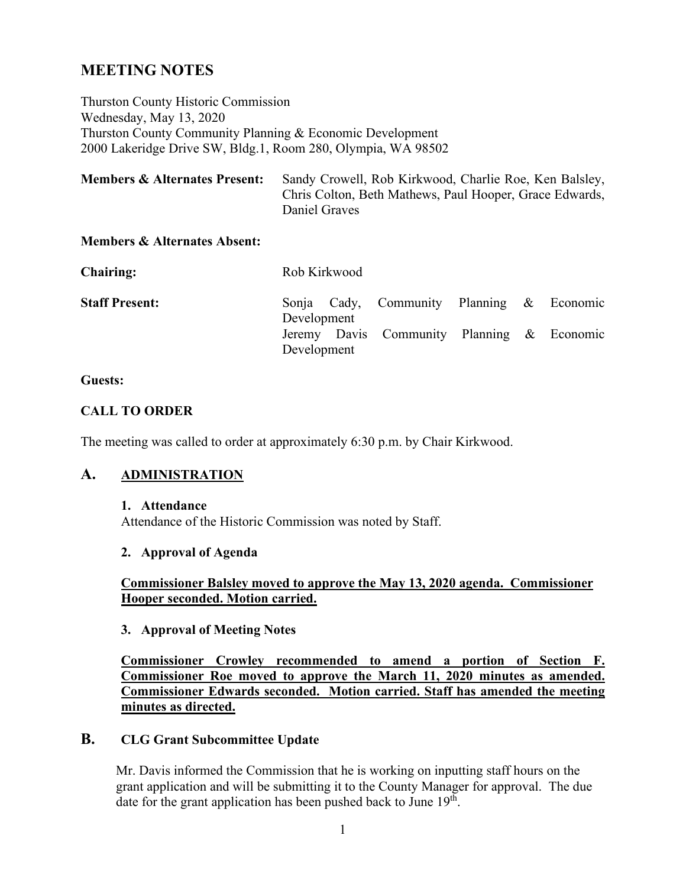# **MEETING NOTES**

Thurston County Historic Commission Wednesday, May 13, 2020 Thurston County Community Planning & Economic Development 2000 Lakeridge Drive SW, Bldg.1, Room 280, Olympia, WA 98502

| <b>Members &amp; Alternates Present:</b> | Sandy Crowell, Rob Kirkwood, Charlie Roe, Ken Balsley,  |
|------------------------------------------|---------------------------------------------------------|
|                                          | Chris Colton, Beth Mathews, Paul Hooper, Grace Edwards, |
|                                          | Daniel Graves                                           |

#### **Members & Alternates Absent:**

| <b>Chairing:</b>      | Rob Kirkwood |                                            |  |  |  |  |
|-----------------------|--------------|--------------------------------------------|--|--|--|--|
| <b>Staff Present:</b> | Development  | Sonja Cady, Community Planning & Economic  |  |  |  |  |
|                       | Development  | Jeremy Davis Community Planning & Economic |  |  |  |  |

#### **Guests:**

#### **CALL TO ORDER**

The meeting was called to order at approximately 6:30 p.m. by Chair Kirkwood.

# **A. ADMINISTRATION**

#### **1. Attendance**

Attendance of the Historic Commission was noted by Staff.

#### **2. Approval of Agenda**

**Commissioner Balsley moved to approve the May 13, 2020 agenda. Commissioner Hooper seconded. Motion carried.**

#### **3. Approval of Meeting Notes**

**Commissioner Crowley recommended to amend a portion of Section F. Commissioner Roe moved to approve the March 11, 2020 minutes as amended. Commissioner Edwards seconded. Motion carried. Staff has amended the meeting minutes as directed.**

# **B. CLG Grant Subcommittee Update**

Mr. Davis informed the Commission that he is working on inputting staff hours on the grant application and will be submitting it to the County Manager for approval. The due date for the grant application has been pushed back to June  $19<sup>th</sup>$ .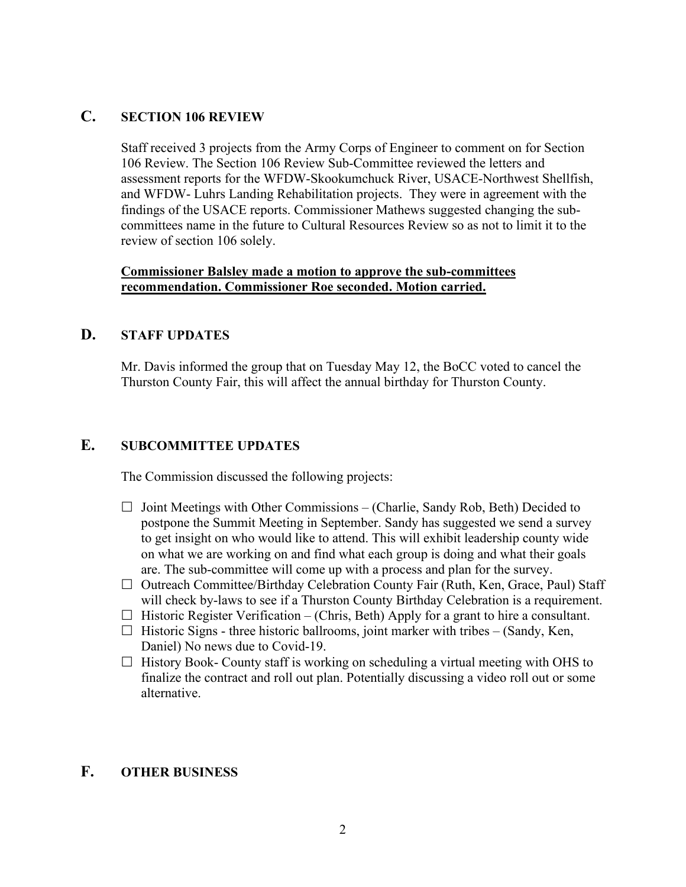## **C. SECTION 106 REVIEW**

Staff received 3 projects from the Army Corps of Engineer to comment on for Section 106 Review. The Section 106 Review Sub-Committee reviewed the letters and assessment reports for the WFDW-Skookumchuck River, USACE-Northwest Shellfish, and WFDW- Luhrs Landing Rehabilitation projects. They were in agreement with the findings of the USACE reports. Commissioner Mathews suggested changing the subcommittees name in the future to Cultural Resources Review so as not to limit it to the review of section 106 solely.

#### **Commissioner Balsley made a motion to approve the sub-committees recommendation. Commissioner Roe seconded. Motion carried.**

## **D. STAFF UPDATES**

Mr. Davis informed the group that on Tuesday May 12, the BoCC voted to cancel the Thurston County Fair, this will affect the annual birthday for Thurston County.

# **E. SUBCOMMITTEE UPDATES**

The Commission discussed the following projects:

- $\Box$  Joint Meetings with Other Commissions (Charlie, Sandy Rob, Beth) Decided to postpone the Summit Meeting in September. Sandy has suggested we send a survey to get insight on who would like to attend. This will exhibit leadership county wide on what we are working on and find what each group is doing and what their goals are. The sub-committee will come up with a process and plan for the survey.
- $\Box$  Outreach Committee/Birthday Celebration County Fair (Ruth, Ken, Grace, Paul) Staff will check by-laws to see if a Thurston County Birthday Celebration is a requirement.
- $\Box$  Historic Register Verification (Chris, Beth) Apply for a grant to hire a consultant.
- $\Box$  Historic Signs three historic ballrooms, joint marker with tribes (Sandy, Ken, Daniel) No news due to Covid-19.
- $\Box$  History Book- County staff is working on scheduling a virtual meeting with OHS to finalize the contract and roll out plan. Potentially discussing a video roll out or some alternative.

# **F. OTHER BUSINESS**